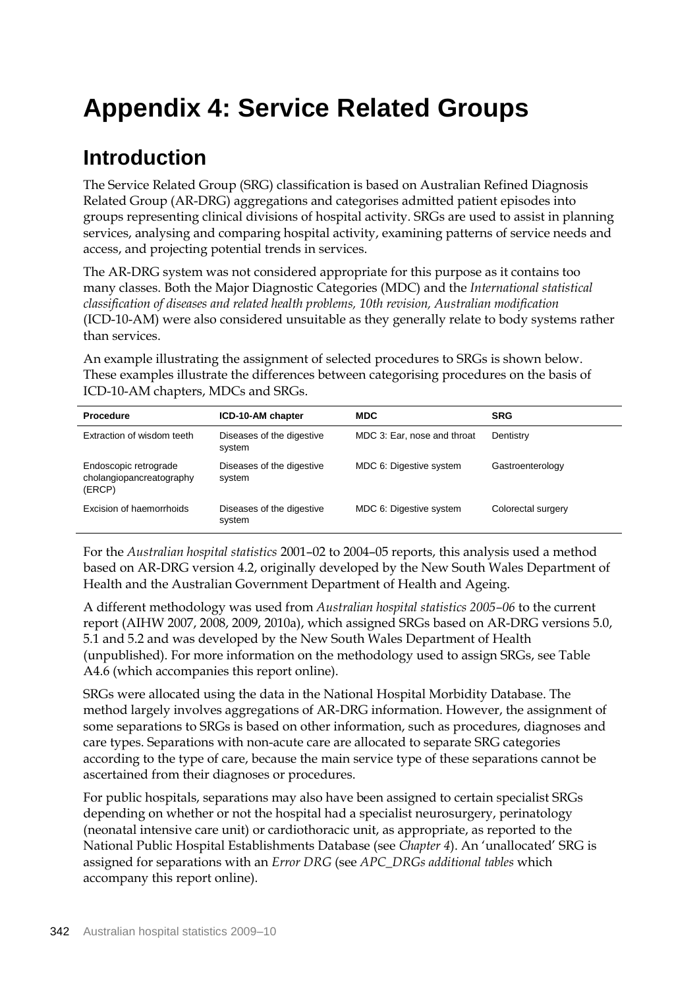## **Appendix 4: Service Related Groups**

## **Introduction**

The Service Related Group (SRG) classification is based on Australian Refined Diagnosis Related Group (AR-DRG) aggregations and categorises admitted patient episodes into groups representing clinical divisions of hospital activity. SRGs are used to assist in planning services, analysing and comparing hospital activity, examining patterns of service needs and access, and projecting potential trends in services.

The AR-DRG system was not considered appropriate for this purpose as it contains too many classes. Both the Major Diagnostic Categories (MDC) and the *International statistical classification of diseases and related health problems, 10th revision, Australian modification* (ICD-10-AM) were also considered unsuitable as they generally relate to body systems rather than services.

An example illustrating the assignment of selected procedures to SRGs is shown below. These examples illustrate the differences between categorising procedures on the basis of ICD-10-AM chapters, MDCs and SRGs.

| <b>Procedure</b>                                            | ICD-10-AM chapter                   | <b>MDC</b>                  | <b>SRG</b>         |
|-------------------------------------------------------------|-------------------------------------|-----------------------------|--------------------|
| Extraction of wisdom teeth                                  | Diseases of the digestive<br>system | MDC 3: Ear, nose and throat | Dentistry          |
| Endoscopic retrograde<br>cholangiopancreatography<br>(ERCP) | Diseases of the digestive<br>system | MDC 6: Digestive system     | Gastroenterology   |
| Excision of haemorrhoids                                    | Diseases of the digestive<br>system | MDC 6: Digestive system     | Colorectal surgery |

For the *Australian hospital statistics* 2001–02 to 2004–05 reports, this analysis used a method based on AR-DRG version 4.2, originally developed by the New South Wales Department of Health and the Australian Government Department of Health and Ageing.

A different methodology was used from *Australian hospital statistics 2005–06* to the current report (AIHW 2007, 2008, 2009, 2010a), which assigned SRGs based on AR-DRG versions 5.0, 5.1 and 5.2 and was developed by the New South Wales Department of Health (unpublished). For more information on the methodology used to assign SRGs, see Table A4.6 (which accompanies this report online).

SRGs were allocated using the data in the National Hospital Morbidity Database. The method largely involves aggregations of AR-DRG information. However, the assignment of some separations to SRGs is based on other information, such as procedures, diagnoses and care types. Separations with non-acute care are allocated to separate SRG categories according to the type of care, because the main service type of these separations cannot be ascertained from their diagnoses or procedures.

For public hospitals, separations may also have been assigned to certain specialist SRGs depending on whether or not the hospital had a specialist neurosurgery, perinatology (neonatal intensive care unit) or cardiothoracic unit, as appropriate, as reported to the National Public Hospital Establishments Database (see *Chapter 4*). An 'unallocated' SRG is assigned for separations with an *Error DRG* (see *APC\_DRGs additional tables* which accompany this report online).